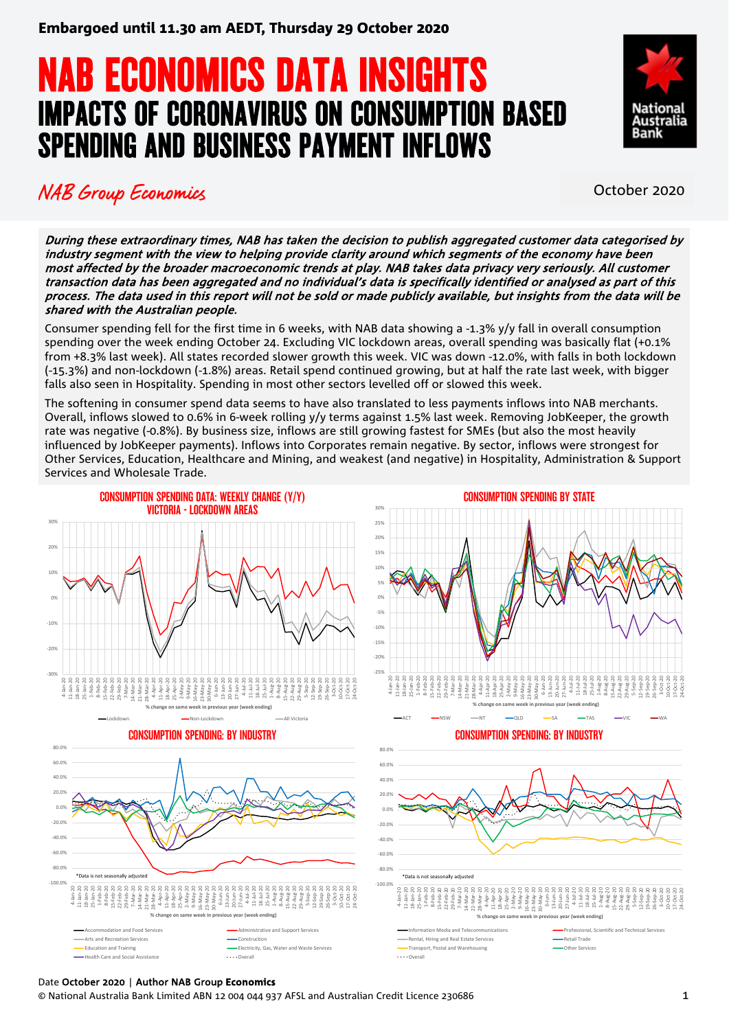# **NAB ECONOMICS DATA INSIGHTS<br>IMPACTS OF CORONAVIRUS ON CONSUMPTION BASED** SPENDING AND BUSINESS PAYMENT INFLOWS



### NAB Group Economics **NAB Group** Economics

During these extraordinary times, NAB has taken the decision to publish aggregated customer data categorised by industry segment with the view to helping provide clarity around which segments of the economy have been most affected by the broader macroeconomic trends at play. NAB takes data privacy very seriously. All customer transaction data has been aggregated and no individual's data is specifically identified or analysed as part of this process. The data used in this report will not be sold or made publicly available, but insights from the data will be shared with the Australian people.

Consumer spending fell for the first time in 6 weeks, with NAB data showing a -1.3% y/y fall in overall consumption spending over the week ending October 24. Excluding VIC lockdown areas, overall spending was basically flat (+0.1% from +8.3% last week). All states recorded slower growth this week. VIC was down -12.0%, with falls in both lockdown (-15.3%) and non-lockdown (-1.8%) areas. Retail spend continued growing, but at half the rate last week, with bigger falls also seen in Hospitality. Spending in most other sectors levelled off or slowed this week.

The softening in consumer spend data seems to have also translated to less payments inflows into NAB merchants. Overall, inflows slowed to 0.6% in 6-week rolling y/y terms against 1.5% last week. Removing JobKeeper, the growth rate was negative (-0.8%). By business size, inflows are still growing fastest for SMEs (but also the most heavily influenced by JobKeeper payments). Inflows into Corporates remain negative. By sector, inflows were strongest for Other Services, Education, Healthcare and Mining, and weakest (and negative) in Hospitality, Administration & Support Services and Wholesale Trade.



#### Date October 2020 | Author NAB Group **Economics**

© National Australia Bank Limited ABN 12 004 044 937 AFSL and Australian Credit Licence 230686 1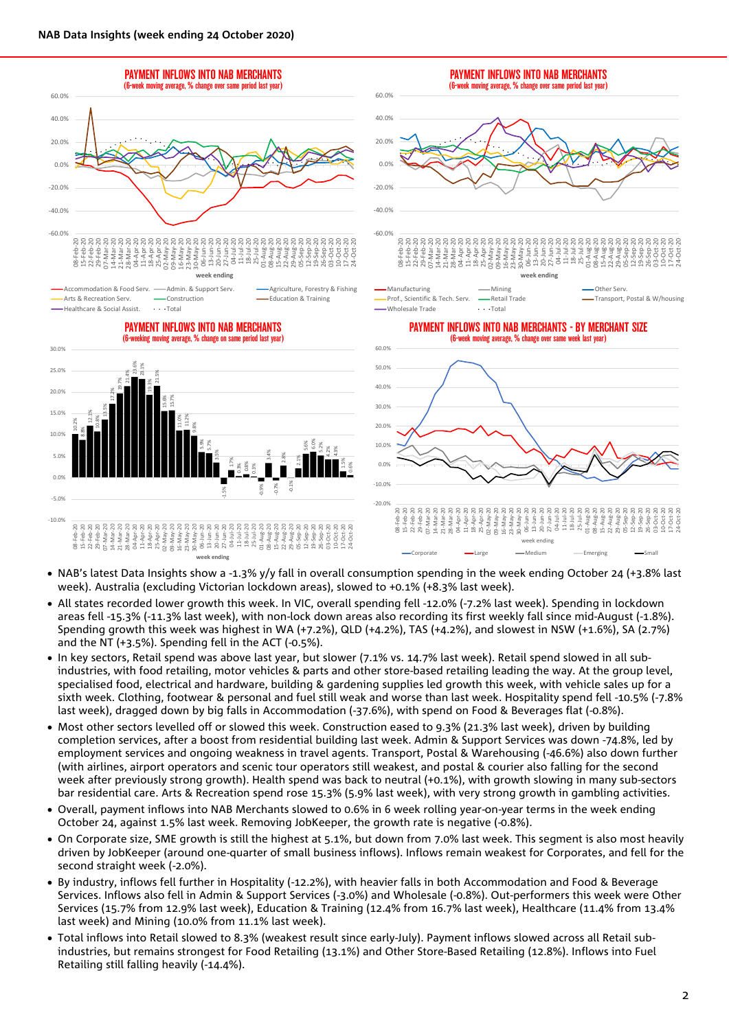

- NAB's latest Data Insights show a -1.3% y/y fall in overall consumption spending in the week ending October 24 (+3.8% last week). Australia (excluding Victorian lockdown areas), slowed to +0.1% (+8.3% last week).
- All states recorded lower growth this week. In VIC, overall spending fell -12.0% (-7.2% last week). Spending in lockdown areas fell -15.3% (-11.3% last week), with non-lock down areas also recording its first weekly fall since mid-August (-1.8%). Spending growth this week was highest in WA (+7.2%), QLD (+4.2%), TAS (+4.2%), and slowest in NSW (+1.6%), SA (2.7%) and the NT (+3.5%). Spending fell in the ACT (-0.5%).
- In key sectors, Retail spend was above last year, but slower (7.1% vs. 14.7% last week). Retail spend slowed in all subindustries, with food retailing, motor vehicles & parts and other store-based retailing leading the way. At the group level, specialised food, electrical and hardware, building & gardening supplies led growth this week, with vehicle sales up for a sixth week. Clothing, footwear & personal and fuel still weak and worse than last week. Hospitality spend fell -10.5% (-7.8% last week), dragged down by big falls in Accommodation (-37.6%), with spend on Food & Beverages flat (-0.8%).
- Most other sectors levelled off or slowed this week. Construction eased to 9.3% (21.3% last week), driven by building completion services, after a boost from residential building last week. Admin & Support Services was down -74.8%, led by employment services and ongoing weakness in travel agents. Transport, Postal & Warehousing (-46.6%) also down further (with airlines, airport operators and scenic tour operators still weakest, and postal & courier also falling for the second week after previously strong growth). Health spend was back to neutral (+0.1%), with growth slowing in many sub-sectors bar residential care. Arts & Recreation spend rose 15.3% (5.9% last week), with very strong growth in gambling activities.
- Overall, payment inflows into NAB Merchants slowed to 0.6% in 6 week rolling year-on-year terms in the week ending October 24, against 1.5% last week. Removing JobKeeper, the growth rate is negative (-0.8%).
- On Corporate size, SME growth is still the highest at 5.1%, but down from 7.0% last week. This segment is also most heavily driven by JobKeeper (around one-quarter of small business inflows). Inflows remain weakest for Corporates, and fell for the second straight week (-2.0%).
- By industry, inflows fell further in Hospitality (-12.2%), with heavier falls in both Accommodation and Food & Beverage Services. Inflows also fell in Admin & Support Services (-3.0%) and Wholesale (-0.8%). Out-performers this week were Other Services (15.7% from 12.9% last week), Education & Training (12.4% from 16.7% last week), Healthcare (11.4% from 13.4% last week) and Mining (10.0% from 11.1% last week).
- Total inflows into Retail slowed to 8.3% (weakest result since early-July). Payment inflows slowed across all Retail subindustries, but remains strongest for Food Retailing (13.1%) and Other Store-Based Retailing (12.8%). Inflows into Fuel Retailing still falling heavily (-14.4%).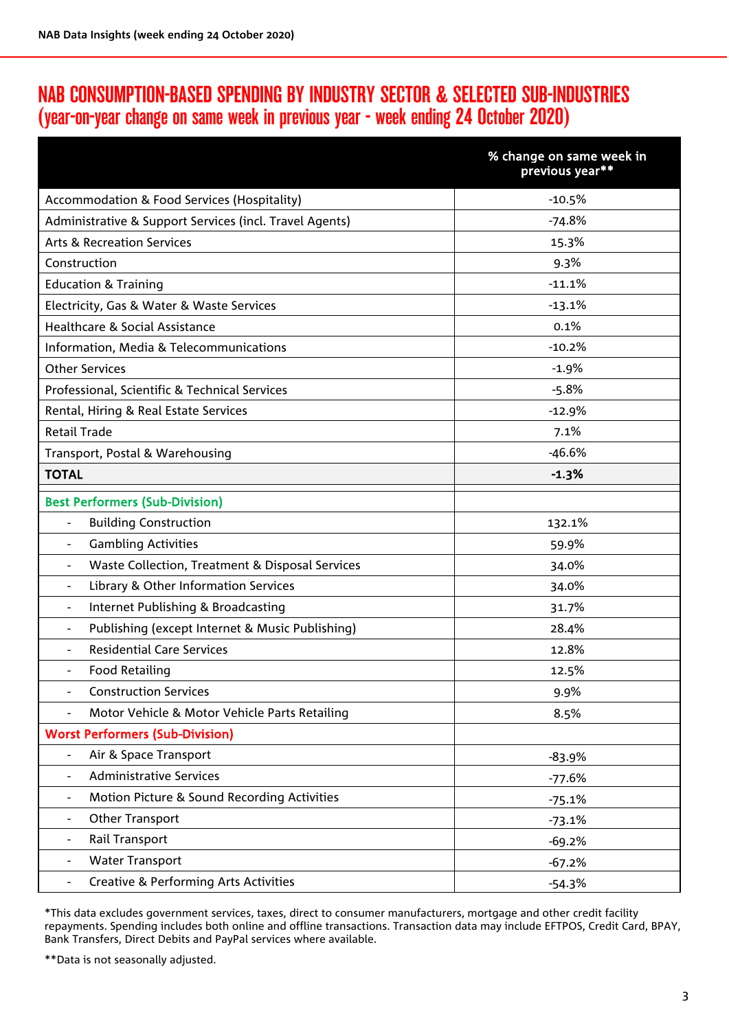## NAB CONSUMPTION-BASED SPENDING BY INDUSTRY SECTOR & SELECTED SUB-INDUSTRIES (year-on-year change on same week in previous year - week ending 24 October 2020)

|                                                                              | % change on same week in<br>previous year** |
|------------------------------------------------------------------------------|---------------------------------------------|
| Accommodation & Food Services (Hospitality)                                  | $-10.5%$                                    |
| Administrative & Support Services (incl. Travel Agents)                      | $-74.8%$                                    |
| <b>Arts &amp; Recreation Services</b>                                        | 15.3%                                       |
| Construction                                                                 | 9.3%                                        |
| <b>Education &amp; Training</b>                                              | $-11.1%$                                    |
| Electricity, Gas & Water & Waste Services                                    | $-13.1%$                                    |
| Healthcare & Social Assistance                                               | 0.1%                                        |
| Information, Media & Telecommunications                                      | $-10.2%$                                    |
| <b>Other Services</b>                                                        | $-1.9%$                                     |
| Professional, Scientific & Technical Services                                | $-5.8%$                                     |
| Rental, Hiring & Real Estate Services                                        | $-12.9%$                                    |
| <b>Retail Trade</b>                                                          | 7.1%                                        |
| Transport, Postal & Warehousing                                              | $-46.6%$                                    |
| <b>TOTAL</b>                                                                 | $-1.3%$                                     |
| <b>Best Performers (Sub-Division)</b>                                        |                                             |
| <b>Building Construction</b><br>$\frac{1}{2}$                                | 132.1%                                      |
| <b>Gambling Activities</b><br>$\overline{\phantom{a}}$                       | 59.9%                                       |
| Waste Collection, Treatment & Disposal Services<br>$\blacksquare$            | 34.0%                                       |
| Library & Other Information Services<br>$\overline{\phantom{a}}$             | 34.0%                                       |
| Internet Publishing & Broadcasting<br>$\overline{\phantom{a}}$               | 31.7%                                       |
| Publishing (except Internet & Music Publishing)                              | 28.4%                                       |
| <b>Residential Care Services</b>                                             | 12.8%                                       |
| <b>Food Retailing</b>                                                        | 12.5%                                       |
| <b>Construction Services</b><br>$\overline{\phantom{a}}$                     | 9.9%                                        |
| Motor Vehicle & Motor Vehicle Parts Retailing                                | 8.5%                                        |
| <b>Worst Performers (Sub-Division)</b>                                       |                                             |
| Air & Space Transport<br>$\overline{\phantom{a}}$                            | $-83.9%$                                    |
| <b>Administrative Services</b><br>$\overline{\phantom{a}}$                   | $-77.6%$                                    |
| Motion Picture & Sound Recording Activities<br>$\overline{\phantom{a}}$      | $-75.1%$                                    |
| Other Transport<br>$\overline{\phantom{a}}$                                  | $-73.1%$                                    |
| Rail Transport<br>$\overline{\phantom{a}}$                                   | $-69.2%$                                    |
| <b>Water Transport</b><br>$\qquad \qquad -$                                  | $-67.2%$                                    |
| <b>Creative &amp; Performing Arts Activities</b><br>$\overline{\phantom{a}}$ | $-54.3%$                                    |

\*This data excludes government services, taxes, direct to consumer manufacturers, mortgage and other credit facility repayments. Spending includes both online and offline transactions. Transaction data may include EFTPOS, Credit Card, BPAY, Bank Transfers, Direct Debits and PayPal services where available.

\*\*Data is not seasonally adjusted.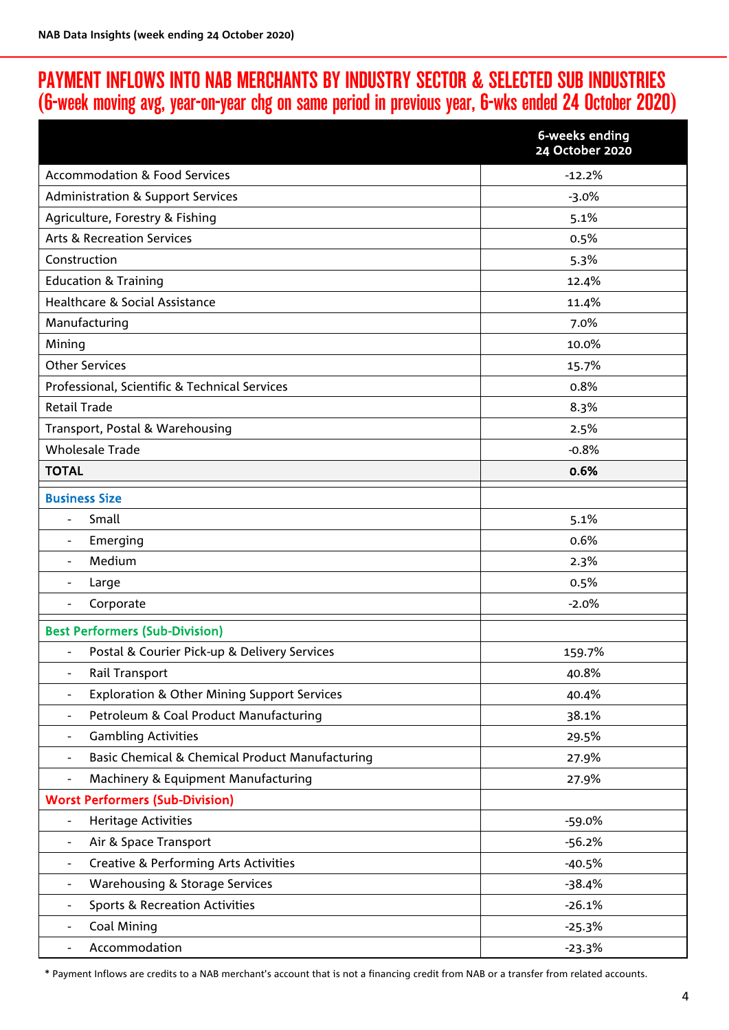## PAYMENT INFLOWS INTO NAB MERCHANTS BY INDUSTRY SECTOR & SELECTED SUB INDUSTRIES (6-week moving avg, year-on-year chg on same period in previous year, 6-wks ended 24 October 2020)

|                                                                              | 6-weeks ending<br>24 October 2020 |
|------------------------------------------------------------------------------|-----------------------------------|
| <b>Accommodation &amp; Food Services</b>                                     | $-12.2%$                          |
| <b>Administration &amp; Support Services</b>                                 | $-3.0%$                           |
| Agriculture, Forestry & Fishing                                              | 5.1%                              |
| <b>Arts &amp; Recreation Services</b>                                        | 0.5%                              |
| Construction                                                                 | 5.3%                              |
| <b>Education &amp; Training</b>                                              | 12.4%                             |
| Healthcare & Social Assistance                                               | 11.4%                             |
| Manufacturing                                                                | 7.0%                              |
| Mining                                                                       | 10.0%                             |
| <b>Other Services</b>                                                        | 15.7%                             |
| Professional, Scientific & Technical Services                                | 0.8%                              |
| <b>Retail Trade</b>                                                          | 8.3%                              |
| Transport, Postal & Warehousing                                              | 2.5%                              |
| <b>Wholesale Trade</b>                                                       | $-0.8%$                           |
| <b>TOTAL</b>                                                                 | 0.6%                              |
| <b>Business Size</b>                                                         |                                   |
| Small<br>$\blacksquare$                                                      | 5.1%                              |
| Emerging<br>$\overline{\phantom{a}}$                                         | 0.6%                              |
| Medium<br>$\blacksquare$                                                     | 2.3%                              |
| Large                                                                        | 0.5%                              |
| Corporate                                                                    | $-2.0%$                           |
| <b>Best Performers (Sub-Division)</b>                                        |                                   |
| Postal & Courier Pick-up & Delivery Services<br>$\overline{\phantom{a}}$     | 159.7%                            |
| Rail Transport<br>$\overline{\phantom{a}}$                                   | 40.8%                             |
| <b>Exploration &amp; Other Mining Support Services</b>                       | 40.4%                             |
| Petroleum & Coal Product Manufacturing<br>$\overline{\phantom{a}}$           | 38.1%                             |
| <b>Gambling Activities</b><br>$\overline{\phantom{a}}$                       | 29.5%                             |
| Basic Chemical & Chemical Product Manufacturing                              | 27.9%                             |
| Machinery & Equipment Manufacturing<br>$\qquad \qquad -$                     | 27.9%                             |
| <b>Worst Performers (Sub-Division)</b>                                       |                                   |
| <b>Heritage Activities</b><br>$\overline{\phantom{a}}$                       | $-59.0%$                          |
| Air & Space Transport<br>$\overline{\phantom{a}}$                            | $-56.2%$                          |
| <b>Creative &amp; Performing Arts Activities</b><br>$\overline{\phantom{a}}$ | $-40.5%$                          |
| <b>Warehousing &amp; Storage Services</b><br>$\overline{\phantom{a}}$        | $-38.4%$                          |
| <b>Sports &amp; Recreation Activities</b>                                    | $-26.1%$                          |
| Coal Mining                                                                  | $-25.3%$                          |
| Accommodation                                                                | $-23.3%$                          |

\* Payment Inflows are credits to a NAB merchant's account that is not a financing credit from NAB or a transfer from related accounts.